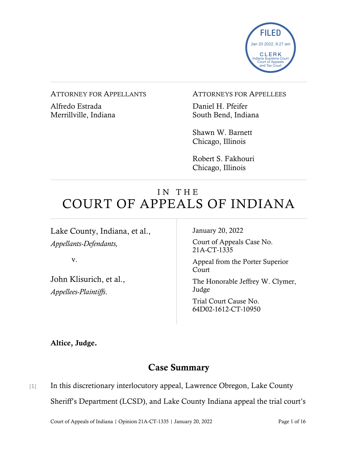

#### ATTORNEY FOR APPELLANTS

Alfredo Estrada Merrillville, Indiana

#### ATTORNEYS FOR APPELLEES

Daniel H. Pfeifer South Bend, Indiana

Shawn W. Barnett Chicago, Illinois

Robert S. Fakhouri Chicago, Illinois

# IN THE COURT OF APPEALS OF INDIANA

Lake County, Indiana, et al., *Appellants-Defendants,*

v.

John Klisurich, et al., *Appellees-Plaintiffs*.

January 20, 2022

Court of Appeals Case No. 21A-CT-1335

Appeal from the Porter Superior Court

The Honorable Jeffrey W. Clymer, Judge

Trial Court Cause No. 64D02-1612-CT-10950

Altice, Judge.

## Case Summary

[1] In this discretionary interlocutory appeal, Lawrence Obregon, Lake County Sheriff's Department (LCSD), and Lake County Indiana appeal the trial court's

Court of Appeals of Indiana | Opinion 21A-CT-1335 | January 20, 2022 Page 1 of 16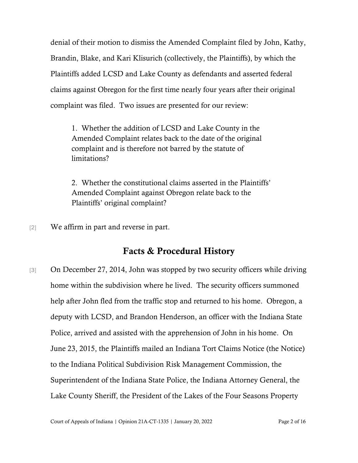denial of their motion to dismiss the Amended Complaint filed by John, Kathy, Brandin, Blake, and Kari Klisurich (collectively, the Plaintiffs), by which the Plaintiffs added LCSD and Lake County as defendants and asserted federal claims against Obregon for the first time nearly four years after their original complaint was filed. Two issues are presented for our review:

1. Whether the addition of LCSD and Lake County in the Amended Complaint relates back to the date of the original complaint and is therefore not barred by the statute of limitations?

2. Whether the constitutional claims asserted in the Plaintiffs' Amended Complaint against Obregon relate back to the Plaintiffs' original complaint?

[2] We affirm in part and reverse in part.

## Facts & Procedural History

[3] On December 27, 2014, John was stopped by two security officers while driving home within the subdivision where he lived. The security officers summoned help after John fled from the traffic stop and returned to his home. Obregon, a deputy with LCSD, and Brandon Henderson, an officer with the Indiana State Police, arrived and assisted with the apprehension of John in his home. On June 23, 2015, the Plaintiffs mailed an Indiana Tort Claims Notice (the Notice) to the Indiana Political Subdivision Risk Management Commission, the Superintendent of the Indiana State Police, the Indiana Attorney General, the Lake County Sheriff, the President of the Lakes of the Four Seasons Property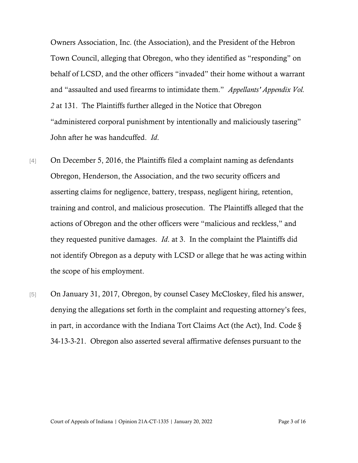Owners Association, Inc. (the Association), and the President of the Hebron Town Council, alleging that Obregon, who they identified as "responding" on behalf of LCSD, and the other officers "invaded" their home without a warrant and "assaulted and used firearms to intimidate them." *Appellants' Appendix Vol. 2* at 131. The Plaintiffs further alleged in the Notice that Obregon "administered corporal punishment by intentionally and maliciously tasering" John after he was handcuffed. *Id*.

- [4] On December 5, 2016, the Plaintiffs filed a complaint naming as defendants Obregon, Henderson, the Association, and the two security officers and asserting claims for negligence, battery, trespass, negligent hiring, retention, training and control, and malicious prosecution. The Plaintiffs alleged that the actions of Obregon and the other officers were "malicious and reckless," and they requested punitive damages. *Id*. at 3. In the complaint the Plaintiffs did not identify Obregon as a deputy with LCSD or allege that he was acting within the scope of his employment.
- [5] On January 31, 2017, Obregon, by counsel Casey McCloskey, filed his answer, denying the allegations set forth in the complaint and requesting attorney's fees, in part, in accordance with the Indiana Tort Claims Act (the Act), Ind. Code § 34-13-3-21. Obregon also asserted several affirmative defenses pursuant to the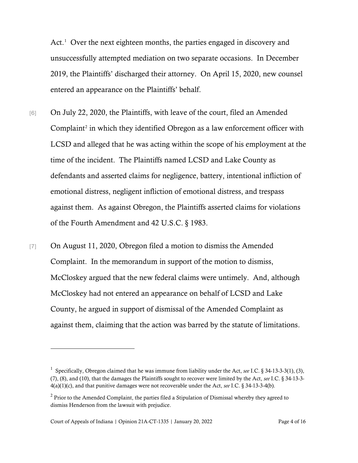Act.<sup>[1](#page-3-0)</sup> Over the next eighteen months, the parties engaged in discovery and unsuccessfully attempted mediation on two separate occasions. In December 2019, the Plaintiffs' discharged their attorney. On April 15, 2020, new counsel entered an appearance on the Plaintiffs' behalf.

- [6] On July 22, 2020, the Plaintiffs, with leave of the court, filed an Amended Complaint<sup>[2](#page-3-1)</sup> in which they identified Obregon as a law enforcement officer with LCSD and alleged that he was acting within the scope of his employment at the time of the incident. The Plaintiffs named LCSD and Lake County as defendants and asserted claims for negligence, battery, intentional infliction of emotional distress, negligent infliction of emotional distress, and trespass against them. As against Obregon, the Plaintiffs asserted claims for violations of the Fourth Amendment and 42 U.S.C. § 1983.
- [7] On August 11, 2020, Obregon filed a motion to dismiss the Amended Complaint. In the memorandum in support of the motion to dismiss, McCloskey argued that the new federal claims were untimely. And, although McCloskey had not entered an appearance on behalf of LCSD and Lake County, he argued in support of dismissal of the Amended Complaint as against them, claiming that the action was barred by the statute of limitations.

<span id="page-3-0"></span><sup>1</sup> Specifically, Obregon claimed that he was immune from liability under the Act, *see* I.C. § 34-13-3-3(1), (3), (7), (8), and (10), that the damages the Plaintiffs sought to recover were limited by the Act, *see* I.C. § 34-13-3- 4(a)(1)(c), and that punitive damages were not recoverable under the Act, *see* I.C. § 34-13-3-4(b).

<span id="page-3-1"></span> $2$  Prior to the Amended Complaint, the parties filed a Stipulation of Dismissal whereby they agreed to dismiss Henderson from the lawsuit with prejudice.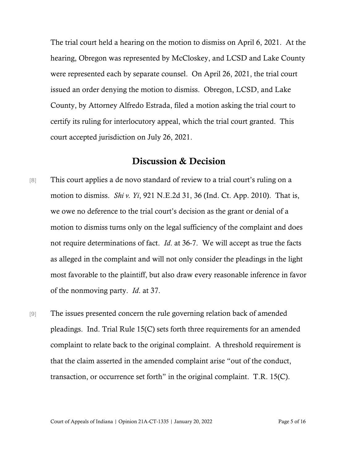The trial court held a hearing on the motion to dismiss on April 6, 2021. At the hearing, Obregon was represented by McCloskey, and LCSD and Lake County were represented each by separate counsel. On April 26, 2021, the trial court issued an order denying the motion to dismiss. Obregon, LCSD, and Lake County, by Attorney Alfredo Estrada, filed a motion asking the trial court to certify its ruling for interlocutory appeal, which the trial court granted. This court accepted jurisdiction on July 26, 2021.

## Discussion & Decision

- [8] This court applies a de novo standard of review to a trial court's ruling on a motion to dismiss. *Shi v. Yi*, 921 N.E.2d 31, 36 (Ind. Ct. App. 2010). That is, we owe no deference to the trial court's decision as the grant or denial of a motion to dismiss turns only on the legal sufficiency of the complaint and does not require determinations of fact. *Id*. at 36-7. We will accept as true the facts as alleged in the complaint and will not only consider the pleadings in the light most favorable to the plaintiff, but also draw every reasonable inference in favor of the nonmoving party. *Id*. at 37.
- [9] The issues presented concern the rule governing relation back of amended pleadings. Ind. Trial Rule 15(C) sets forth three requirements for an amended complaint to relate back to the original complaint. A threshold requirement is that the claim asserted in the amended complaint arise "out of the conduct, transaction, or occurrence set forth" in the original complaint. T.R. 15(C).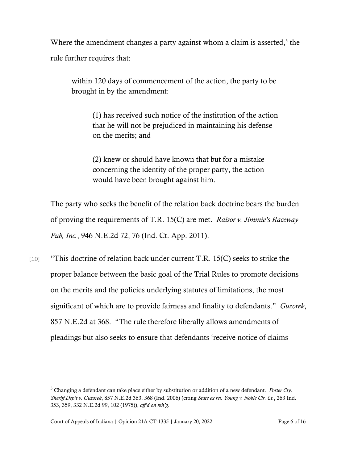Where the amendment changes a party against whom a claim is asserted, $3$  the rule further requires that:

within 120 days of commencement of the action, the party to be brought in by the amendment:

> (1) has received such notice of the institution of the action that he will not be prejudiced in maintaining his defense on the merits; and

(2) knew or should have known that but for a mistake concerning the identity of the proper party, the action would have been brought against him.

The party who seeks the benefit of the relation back doctrine bears the burden of proving the requirements of T.R. 15(C) are met. *Raisor v. Jimmie's Raceway Pub, Inc.*, 946 N.E.2d 72, 76 (Ind. Ct. App. 2011).

[10] "This doctrine of relation back under current T.R. 15(C) seeks to strike the proper balance between the basic goal of the Trial Rules to promote decisions on the merits and the policies underlying statutes of limitations, the most significant of which are to provide fairness and finality to defendants." *Guzorek*, 857 N.E.2d at 368. "The rule therefore liberally allows amendments of pleadings but also seeks to ensure that defendants 'receive notice of claims

<span id="page-5-0"></span><sup>3</sup> Changing a defendant can take place either by substitution or addition of a new defendant. *Porter Cty. Sheriff Dep't v. Guzorek*, 857 N.E.2d 363, 368 (Ind. 2006) (citing *State ex rel. Young v. Noble Cir. Ct.*, 263 Ind. 353, 359, 332 N.E.2d 99, 102 (1975)), *aff'd on reh'g*.

Court of Appeals of Indiana | Opinion 21A-CT-1335 | January 20, 2022 Page 6 of 16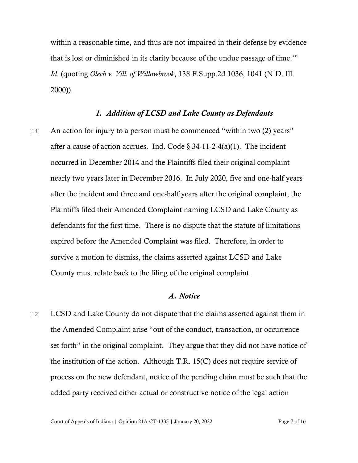within a reasonable time, and thus are not impaired in their defense by evidence that is lost or diminished in its clarity because of the undue passage of time.'" *Id*. (quoting *Olech v. Vill. of Willowbrook*, 138 F.Supp.2d 1036, 1041 (N.D. Ill. 2000)).

## *1. Addition of LCSD and Lake County as Defendants*

[11] An action for injury to a person must be commenced "within two (2) years" after a cause of action accrues. Ind. Code  $\S$  34-11-2-4(a)(1). The incident occurred in December 2014 and the Plaintiffs filed their original complaint nearly two years later in December 2016. In July 2020, five and one-half years after the incident and three and one-half years after the original complaint, the Plaintiffs filed their Amended Complaint naming LCSD and Lake County as defendants for the first time. There is no dispute that the statute of limitations expired before the Amended Complaint was filed. Therefore, in order to survive a motion to dismiss, the claims asserted against LCSD and Lake County must relate back to the filing of the original complaint.

## *A. Notice*

[12] LCSD and Lake County do not dispute that the claims asserted against them in the Amended Complaint arise "out of the conduct, transaction, or occurrence set forth" in the original complaint. They argue that they did not have notice of the institution of the action. Although T.R. 15(C) does not require service of process on the new defendant, notice of the pending claim must be such that the added party received either actual or constructive notice of the legal action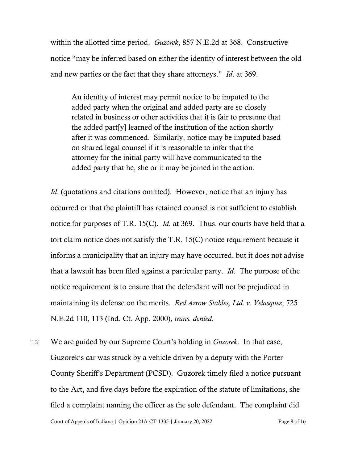within the allotted time period. *Guzorek*, 857 N.E.2d at 368. Constructive notice "may be inferred based on either the identity of interest between the old and new parties or the fact that they share attorneys." *Id*. at 369.

An identity of interest may permit notice to be imputed to the added party when the original and added party are so closely related in business or other activities that it is fair to presume that the added part[y] learned of the institution of the action shortly after it was commenced. Similarly, notice may be imputed based on shared legal counsel if it is reasonable to infer that the attorney for the initial party will have communicated to the added party that he, she or it may be joined in the action.

*Id.* (quotations and citations omitted). However, notice that an injury has occurred or that the plaintiff has retained counsel is not sufficient to establish notice for purposes of T.R. 15(C). *Id*. at 369. Thus, our courts have held that a tort claim notice does not satisfy the T.R. 15(C) notice requirement because it informs a municipality that an injury may have occurred, but it does not advise that a lawsuit has been filed against a particular party. *Id*. The purpose of the notice requirement is to ensure that the defendant will not be prejudiced in maintaining its defense on the merits. *Red Arrow Stables, Ltd. v. Velasquez*, 725 N.E.2d 110, 113 (Ind. Ct. App. 2000), *trans. denied*.

Court of Appeals of Indiana | Opinion 21A-CT-1335 | January 20, 2022 Page 8 of 16 [13] We are guided by our Supreme Court's holding in *Guzorek*. In that case, Guzorek's car was struck by a vehicle driven by a deputy with the Porter County Sheriff's Department (PCSD). Guzorek timely filed a notice pursuant to the Act, and five days before the expiration of the statute of limitations, she filed a complaint naming the officer as the sole defendant. The complaint did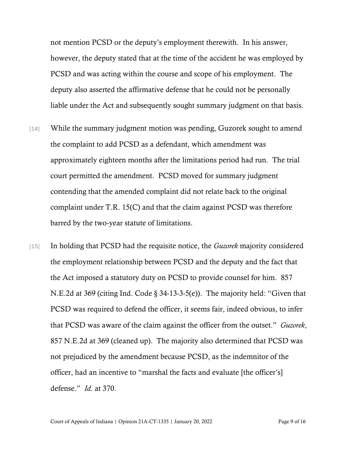not mention PCSD or the deputy's employment therewith. In his answer, however, the deputy stated that at the time of the accident he was employed by PCSD and was acting within the course and scope of his employment. The deputy also asserted the affirmative defense that he could not be personally liable under the Act and subsequently sought summary judgment on that basis.

- [14] While the summary judgment motion was pending, Guzorek sought to amend the complaint to add PCSD as a defendant, which amendment was approximately eighteen months after the limitations period had run. The trial court permitted the amendment. PCSD moved for summary judgment contending that the amended complaint did not relate back to the original complaint under T.R. 15(C) and that the claim against PCSD was therefore barred by the two-year statute of limitations.
- [15] In holding that PCSD had the requisite notice, the *Guzorek* majority considered the employment relationship between PCSD and the deputy and the fact that the Act imposed a statutory duty on PCSD to provide counsel for him. 857 N.E.2d at 369 (citing Ind. Code § 34-13-3-5(e)). The majority held: "Given that PCSD was required to defend the officer, it seems fair, indeed obvious, to infer that PCSD was aware of the claim against the officer from the outset." *Guzorek*, 857 N.E.2d at 369 (cleaned up). The majority also determined that PCSD was not prejudiced by the amendment because PCSD, as the indemnitor of the officer, had an incentive to "marshal the facts and evaluate [the officer's] defense." *Id*. at 370.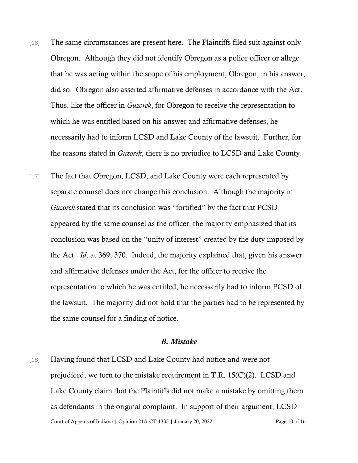- [16] The same circumstances are present here. The Plaintiffs filed suit against only Obregon. Although they did not identify Obregon as a police officer or allege that he was acting within the scope of his employment, Obregon, in his answer, did so. Obregon also asserted affirmative defenses in accordance with the Act. Thus, like the officer in *Guzorek*, for Obregon to receive the representation to which he was entitled based on his answer and affirmative defenses, he necessarily had to inform LCSD and Lake County of the lawsuit. Further, for the reasons stated in *Guzorek*, there is no prejudice to LCSD and Lake County.
- [17] The fact that Obregon, LCSD, and Lake County were each represented by separate counsel does not change this conclusion. Although the majority in *Guzorek* stated that its conclusion was "fortified" by the fact that PCSD appeared by the same counsel as the officer, the majority emphasized that its conclusion was based on the "unity of interest" created by the duty imposed by the Act. *Id*. at 369, 370. Indeed, the majority explained that, given his answer and affirmative defenses under the Act, for the officer to receive the representation to which he was entitled, he necessarily had to inform PCSD of the lawsuit. The majority did not hold that the parties had to be represented by the same counsel for a finding of notice.

## *B. Mistake*

Court of Appeals of Indiana | Opinion 21A-CT-1335 | January 20, 2022 Page 10 of 16 [18] Having found that LCSD and Lake County had notice and were not prejudiced, we turn to the mistake requirement in T.R. 15(C)(2). LCSD and Lake County claim that the Plaintiffs did not make a mistake by omitting them as defendants in the original complaint. In support of their argument, LCSD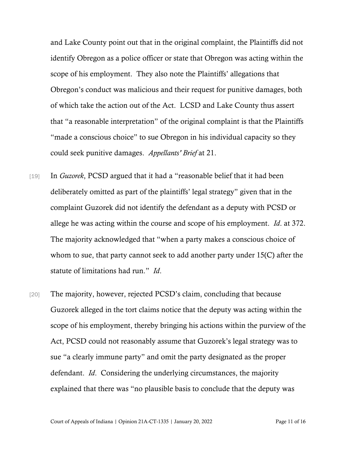and Lake County point out that in the original complaint, the Plaintiffs did not identify Obregon as a police officer or state that Obregon was acting within the scope of his employment. They also note the Plaintiffs' allegations that Obregon's conduct was malicious and their request for punitive damages, both of which take the action out of the Act. LCSD and Lake County thus assert that "a reasonable interpretation" of the original complaint is that the Plaintiffs "made a conscious choice" to sue Obregon in his individual capacity so they could seek punitive damages. *Appellants' Brief* at 21.

- [19] In *Guzorek*, PCSD argued that it had a "reasonable belief that it had been deliberately omitted as part of the plaintiffs' legal strategy" given that in the complaint Guzorek did not identify the defendant as a deputy with PCSD or allege he was acting within the course and scope of his employment. *Id*. at 372. The majority acknowledged that "when a party makes a conscious choice of whom to sue, that party cannot seek to add another party under 15(C) after the statute of limitations had run." *Id*.
- [20] The majority, however, rejected PCSD's claim, concluding that because Guzorek alleged in the tort claims notice that the deputy was acting within the scope of his employment, thereby bringing his actions within the purview of the Act, PCSD could not reasonably assume that Guzorek's legal strategy was to sue "a clearly immune party" and omit the party designated as the proper defendant. *Id*. Considering the underlying circumstances, the majority explained that there was "no plausible basis to conclude that the deputy was

Court of Appeals of Indiana | Opinion 21A-CT-1335 | January 20, 2022 Page 11 of 16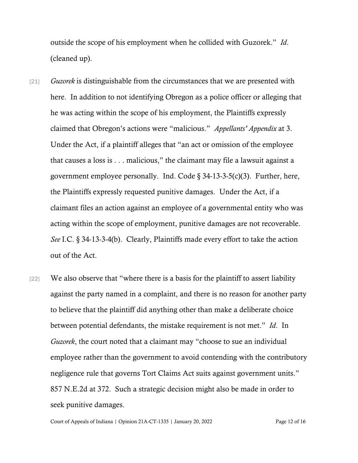outside the scope of his employment when he collided with Guzorek." *Id*. (cleaned up).

- [21] *Guzorek* is distinguishable from the circumstances that we are presented with here. In addition to not identifying Obregon as a police officer or alleging that he was acting within the scope of his employment, the Plaintiffs expressly claimed that Obregon's actions were "malicious." *Appellants' Appendix* at 3. Under the Act, if a plaintiff alleges that "an act or omission of the employee that causes a loss is . . . malicious," the claimant may file a lawsuit against a government employee personally. Ind. Code § 34-13-3-5(c)(3). Further, here, the Plaintiffs expressly requested punitive damages. Under the Act, if a claimant files an action against an employee of a governmental entity who was acting within the scope of employment, punitive damages are not recoverable. *See* I.C. § 34-13-3-4(b). Clearly, Plaintiffs made every effort to take the action out of the Act.
- [22] We also observe that "where there is a basis for the plaintiff to assert liability against the party named in a complaint, and there is no reason for another party to believe that the plaintiff did anything other than make a deliberate choice between potential defendants, the mistake requirement is not met." *Id*. In *Guzorek*, the court noted that a claimant may "choose to sue an individual employee rather than the government to avoid contending with the contributory negligence rule that governs Tort Claims Act suits against government units." 857 N.E.2d at 372. Such a strategic decision might also be made in order to seek punitive damages.

Court of Appeals of Indiana | Opinion 21A-CT-1335 | January 20, 2022 Page 12 of 16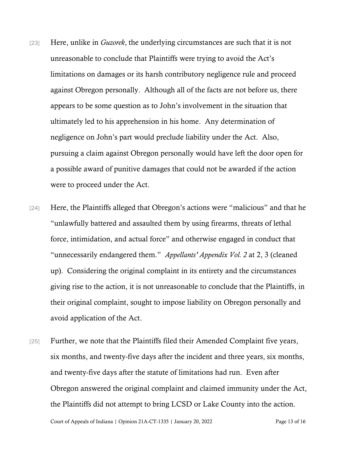- [23] Here, unlike in *Guzorek*, the underlying circumstances are such that it is not unreasonable to conclude that Plaintiffs were trying to avoid the Act's limitations on damages or its harsh contributory negligence rule and proceed against Obregon personally. Although all of the facts are not before us, there appears to be some question as to John's involvement in the situation that ultimately led to his apprehension in his home. Any determination of negligence on John's part would preclude liability under the Act. Also, pursuing a claim against Obregon personally would have left the door open for a possible award of punitive damages that could not be awarded if the action were to proceed under the Act.
- [24] Here, the Plaintiffs alleged that Obregon's actions were "malicious" and that he "unlawfully battered and assaulted them by using firearms, threats of lethal force, intimidation, and actual force" and otherwise engaged in conduct that "unnecessarily endangered them." *Appellants' Appendix Vol. 2* at 2, 3 (cleaned up). Considering the original complaint in its entirety and the circumstances giving rise to the action, it is not unreasonable to conclude that the Plaintiffs, in their original complaint, sought to impose liability on Obregon personally and avoid application of the Act.
- [25] Further, we note that the Plaintiffs filed their Amended Complaint five years, six months, and twenty-five days after the incident and three years, six months, and twenty-five days after the statute of limitations had run. Even after Obregon answered the original complaint and claimed immunity under the Act, the Plaintiffs did not attempt to bring LCSD or Lake County into the action.

Court of Appeals of Indiana | Opinion 21A-CT-1335 | January 20, 2022 Page 13 of 16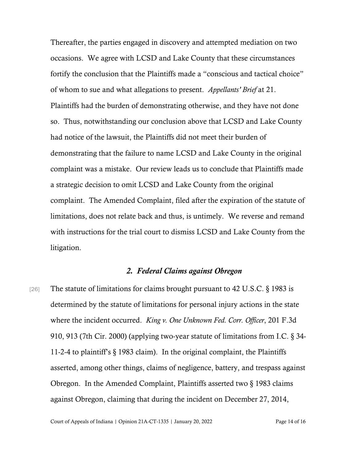Thereafter, the parties engaged in discovery and attempted mediation on two occasions. We agree with LCSD and Lake County that these circumstances fortify the conclusion that the Plaintiffs made a "conscious and tactical choice" of whom to sue and what allegations to present. *Appellants' Brief* at 21. Plaintiffs had the burden of demonstrating otherwise, and they have not done so. Thus, notwithstanding our conclusion above that LCSD and Lake County had notice of the lawsuit, the Plaintiffs did not meet their burden of demonstrating that the failure to name LCSD and Lake County in the original complaint was a mistake. Our review leads us to conclude that Plaintiffs made a strategic decision to omit LCSD and Lake County from the original complaint. The Amended Complaint, filed after the expiration of the statute of limitations, does not relate back and thus, is untimely. We reverse and remand with instructions for the trial court to dismiss LCSD and Lake County from the litigation.

## *2. Federal Claims against Obregon*

[26] The statute of limitations for claims brought pursuant to 42 U.S.C. § 1983 is determined by the statute of limitations for personal injury actions in the state where the incident occurred. *King v. One Unknown Fed. Corr. Officer*, 201 F.3d 910, 913 (7th Cir. 2000) (applying two-year statute of limitations from I.C. § 34- 11-2-4 to plaintiff's § 1983 claim). In the original complaint, the Plaintiffs asserted, among other things, claims of negligence, battery, and trespass against Obregon. In the Amended Complaint, Plaintiffs asserted two § 1983 claims against Obregon, claiming that during the incident on December 27, 2014,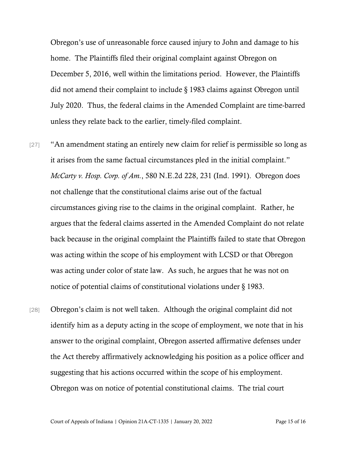Obregon's use of unreasonable force caused injury to John and damage to his home. The Plaintiffs filed their original complaint against Obregon on December 5, 2016, well within the limitations period. However, the Plaintiffs did not amend their complaint to include § 1983 claims against Obregon until July 2020. Thus, the federal claims in the Amended Complaint are time-barred unless they relate back to the earlier, timely-filed complaint.

- [27] "An amendment stating an entirely new claim for relief is permissible so long as it arises from the same factual circumstances pled in the initial complaint." *McCarty v. Hosp. Corp. of Am.*, 580 N.E.2d 228, 231 (Ind. 1991). Obregon does not challenge that the constitutional claims arise out of the factual circumstances giving rise to the claims in the original complaint. Rather, he argues that the federal claims asserted in the Amended Complaint do not relate back because in the original complaint the Plaintiffs failed to state that Obregon was acting within the scope of his employment with LCSD or that Obregon was acting under color of state law. As such, he argues that he was not on notice of potential claims of constitutional violations under § 1983.
- [28] Obregon's claim is not well taken. Although the original complaint did not identify him as a deputy acting in the scope of employment, we note that in his answer to the original complaint, Obregon asserted affirmative defenses under the Act thereby affirmatively acknowledging his position as a police officer and suggesting that his actions occurred within the scope of his employment. Obregon was on notice of potential constitutional claims. The trial court

Court of Appeals of Indiana | Opinion 21A-CT-1335 | January 20, 2022 Page 15 of 16